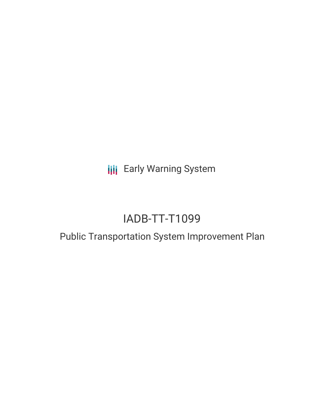**III** Early Warning System

# IADB-TT-T1099

## Public Transportation System Improvement Plan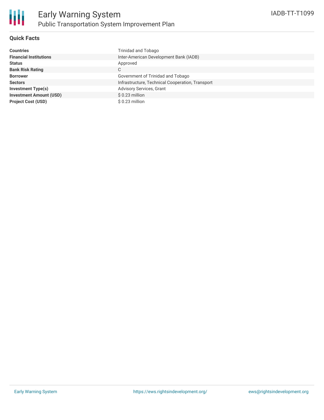

### **Quick Facts**

| <b>Countries</b>               | <b>Trinidad and Tobago</b>                       |
|--------------------------------|--------------------------------------------------|
| <b>Financial Institutions</b>  | Inter-American Development Bank (IADB)           |
| <b>Status</b>                  | Approved                                         |
| <b>Bank Risk Rating</b>        | С                                                |
| <b>Borrower</b>                | Government of Trinidad and Tobago                |
| <b>Sectors</b>                 | Infrastructure, Technical Cooperation, Transport |
| <b>Investment Type(s)</b>      | Advisory Services, Grant                         |
| <b>Investment Amount (USD)</b> | $$0.23$ million                                  |
| <b>Project Cost (USD)</b>      | $$0.23$ million                                  |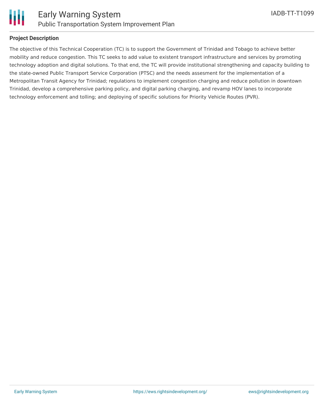

### **Project Description**

The objective of this Technical Cooperation (TC) is to support the Government of Trinidad and Tobago to achieve better mobility and reduce congestion. This TC seeks to add value to existent transport infrastructure and services by promoting technology adoption and digital solutions. To that end, the TC will provide institutional strengthening and capacity building to the state-owned Public Transport Service Corporation (PTSC) and the needs assesment for the implementation of a Metropolitan Transit Agency for Trinidad; regulations to implement congestion charging and reduce pollution in downtown Trinidad, develop a comprehensive parking policy, and digital parking charging, and revamp HOV lanes to incorporate technology enforcement and tolling; and deploying of specific solutions for Priority Vehicle Routes (PVR).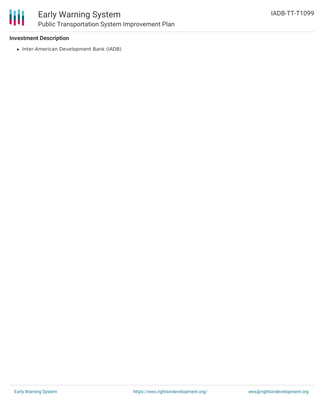

### Early Warning System Public Transportation System Improvement Plan

### **Investment Description**

• Inter-American Development Bank (IADB)